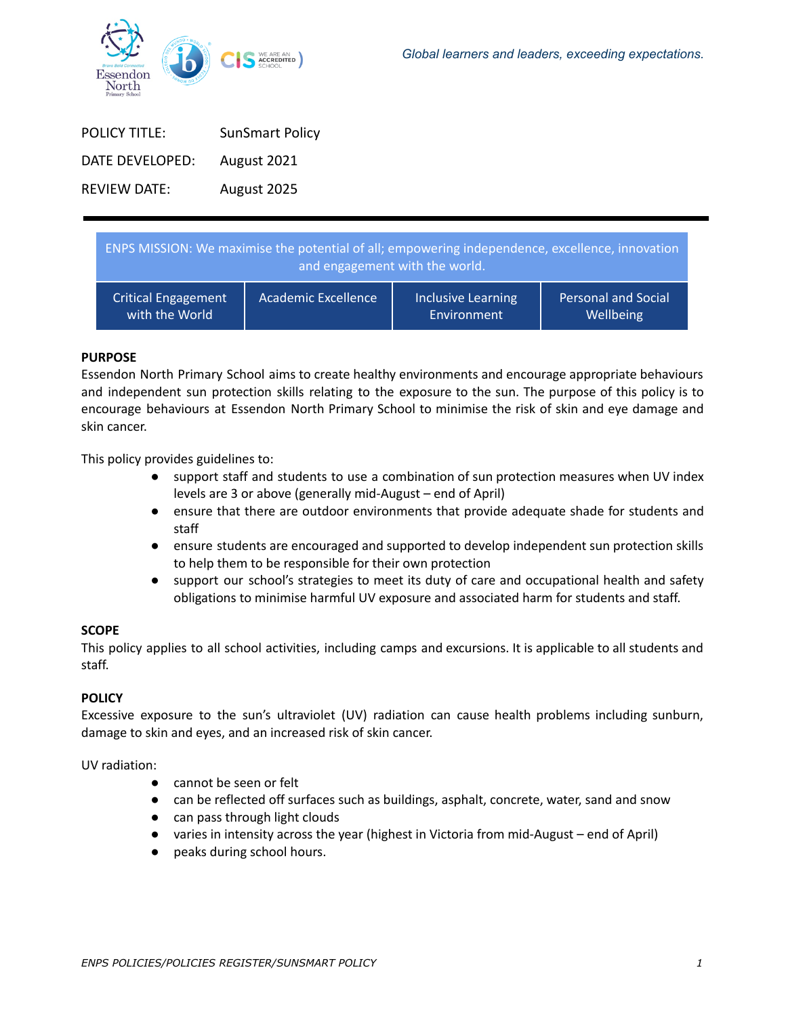

| <b>POLICY TITLE:</b> | <b>SunSmart Policy</b> |
|----------------------|------------------------|
| DATE DEVELOPED:      | August 2021            |
| <b>REVIEW DATE:</b>  | August 2025            |

| ENPS MISSION: We maximise the potential of all; empowering independence, excellence, innovation<br>and engagement with the world. |                            |                           |                     |  |
|-----------------------------------------------------------------------------------------------------------------------------------|----------------------------|---------------------------|---------------------|--|
| <b>Critical Engagement</b>                                                                                                        | <b>Academic Excellence</b> | <b>Inclusive Learning</b> | Personal and Social |  |
| with the World                                                                                                                    |                            | Environment               | Wellbeing           |  |

## **PURPOSE**

Essendon North Primary School aims to create healthy environments and encourage appropriate behaviours and independent sun protection skills relating to the exposure to the sun. The purpose of this policy is to encourage behaviours at Essendon North Primary School to minimise the risk of skin and eye damage and skin cancer.

This policy provides guidelines to:

- support staff and students to use a combination of sun protection measures when UV index levels are 3 or above (generally mid-August – end of April)
- ensure that there are outdoor environments that provide adequate shade for students and staff
- ensure students are encouraged and supported to develop independent sun protection skills to help them to be responsible for their own protection
- support our school's strategies to meet its duty of care and occupational health and safety obligations to minimise harmful UV exposure and associated harm for students and staff.

## **SCOPE**

This policy applies to all school activities, including camps and excursions. It is applicable to all students and staff.

## **POLICY**

Excessive exposure to the sun's ultraviolet (UV) radiation can cause health problems including sunburn, damage to skin and eyes, and an increased risk of skin cancer.

UV radiation:

- cannot be seen or felt
- can be reflected off surfaces such as buildings, asphalt, concrete, water, sand and snow
- can pass through light clouds
- varies in intensity across the year (highest in Victoria from mid-August end of April)
- peaks during school hours.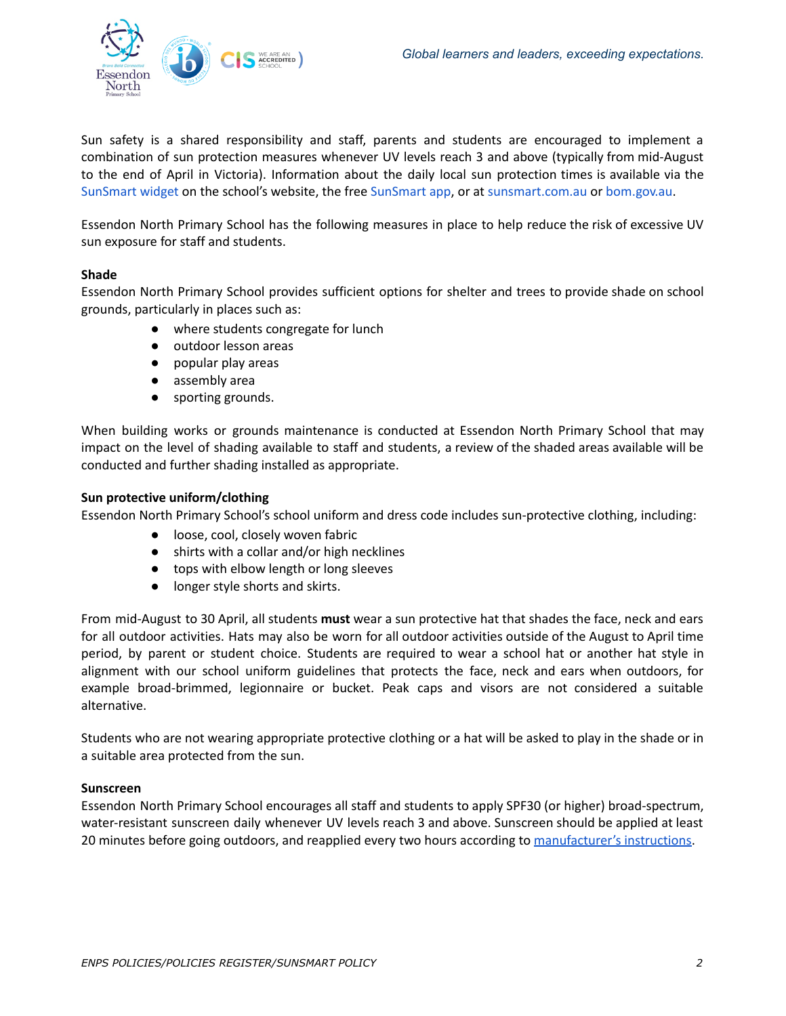

Sun safety is a shared responsibility and staff, parents and students are encouraged to implement a combination of sun protection measures whenever UV levels reach 3 and above (typically from mid-August to the end of April in Victoria). Information about the daily local sun protection times is available via the [SunSmart](http://www.sunsmart.com.au/uv-sun-protection/uv/uv-widget) widget on the school's website, the free [SunSmart](http://www.sunsmart.com.au/tools/interactive-tools/free-sunsmart-app) app, or at [sunsmart.com.au](http://www.sunsmart.com.au/) or [bom.gov.au](http://www.bom.gov.au/).

Essendon North Primary School has the following measures in place to help reduce the risk of excessive UV sun exposure for staff and students.

## **Shade**

Essendon North Primary School provides sufficient options for shelter and trees to provide shade on school grounds, particularly in places such as:

- where students congregate for lunch
- outdoor lesson areas
- popular play areas
- assembly area
- sporting grounds.

When building works or grounds maintenance is conducted at Essendon North Primary School that may impact on the level of shading available to staff and students, a review of the shaded areas available will be conducted and further shading installed as appropriate.

## **Sun protective uniform/clothing**

Essendon North Primary School's school uniform and dress code includes sun-protective clothing, including:

- loose, cool, closely woven fabric
- shirts with a collar and/or high necklines
- tops with elbow length or long sleeves
- longer style shorts and skirts.

From mid-August to 30 April, all students **must** wear a sun protective hat that shades the face, neck and ears for all outdoor activities. Hats may also be worn for all outdoor activities outside of the August to April time period, by parent or student choice. Students are required to wear a school hat or another hat style in alignment with our school uniform guidelines that protects the face, neck and ears when outdoors, for example broad-brimmed, legionnaire or bucket. Peak caps and visors are not considered a suitable alternative.

Students who are not wearing appropriate protective clothing or a hat will be asked to play in the shade or in a suitable area protected from the sun.

## **Sunscreen**

Essendon North Primary School encourages all staff and students to apply SPF30 (or higher) broad-spectrum, water-resistant sunscreen daily whenever UV levels reach 3 and above. Sunscreen should be applied at least 20 minutes before going outdoors, and reapplied every two hours according to [manufacturer's](https://www.tga.gov.au/community-qa/sunscreens-information-consumers) instructions.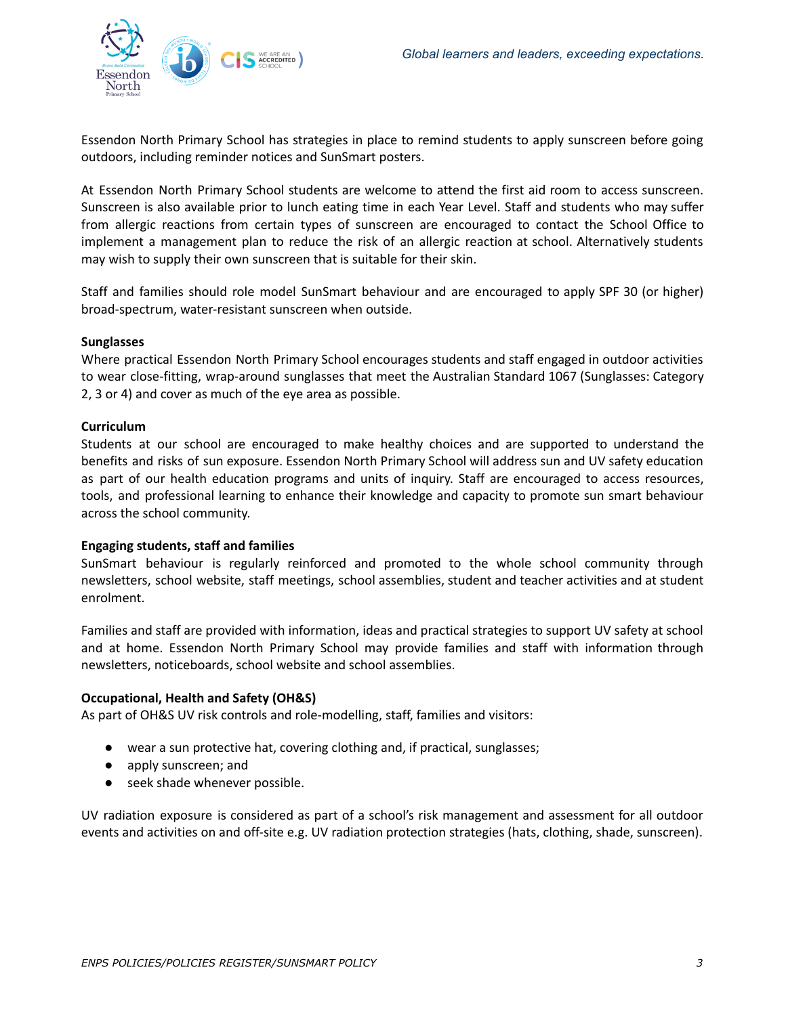

Essendon North Primary School has strategies in place to remind students to apply sunscreen before going outdoors, including reminder notices and SunSmart posters.

At Essendon North Primary School students are welcome to attend the first aid room to access sunscreen. Sunscreen is also available prior to lunch eating time in each Year Level. Staff and students who may suffer from allergic reactions from certain types of sunscreen are encouraged to contact the School Office to implement a management plan to reduce the risk of an allergic reaction at school. Alternatively students may wish to supply their own sunscreen that is suitable for their skin.

Staff and families should role model SunSmart behaviour and are encouraged to apply SPF 30 (or higher) broad-spectrum, water-resistant sunscreen when outside.

#### **Sunglasses**

Where practical Essendon North Primary School encourages students and staff engaged in outdoor activities to wear close-fitting, wrap-around sunglasses that meet the Australian Standard 1067 (Sunglasses: Category 2, 3 or 4) and cover as much of the eye area as possible.

#### **Curriculum**

Students at our school are encouraged to make healthy choices and are supported to understand the benefits and risks of sun exposure. Essendon North Primary School will address sun and UV safety education as part of our health education programs and units of inquiry. Staff are encouraged to access resources, tools, and professional learning to enhance their knowledge and capacity to promote sun smart behaviour across the school community.

## **Engaging students, staff and families**

SunSmart behaviour is regularly reinforced and promoted to the whole school community through newsletters, school website, staff meetings, school assemblies, student and teacher activities and at student enrolment.

Families and staff are provided with information, ideas and practical strategies to support UV safety at school and at home. Essendon North Primary School may provide families and staff with information through newsletters, noticeboards, school website and school assemblies.

## **Occupational, Health and Safety (OH&S)**

As part of OH&S UV risk controls and role-modelling, staff, families and visitors:

- wear a sun protective hat, covering clothing and, if practical, sunglasses;
- apply sunscreen; and
- seek shade whenever possible.

UV radiation exposure is considered as part of a school's risk management and assessment for all outdoor events and activities on and off-site e.g. UV radiation protection strategies (hats, clothing, shade, sunscreen).